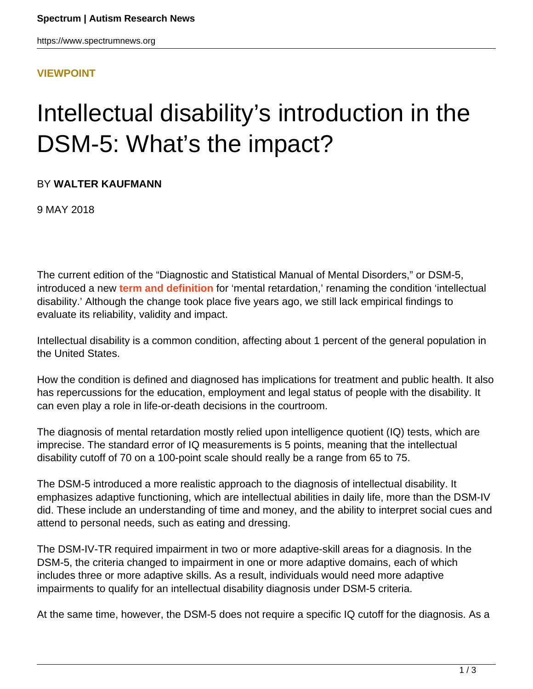### **[VIEWPOINT](HTTPS://WWW.SPECTRUMNEWS.ORG/OPINION/VIEWPOINT/)**

# Intellectual disability's introduction in the DSM-5: What's the impact?

### BY **WALTER KAUFMANN**

9 MAY 2018

The current edition of the "Diagnostic and Statistical Manual of Mental Disorders," or DSM-5, introduced a new **[term and definition](https://spectrumnews.org/news/new-diagnostic-criteria-for-autism-fuel-debate/)** for 'mental retardation,' renaming the condition 'intellectual disability.' Although the change took place five years ago, we still lack empirical findings to evaluate its reliability, validity and impact.

Intellectual disability is a common condition, affecting about 1 percent of the general population in the United States.

How the condition is defined and diagnosed has implications for treatment and public health. It also has repercussions for the education, employment and legal status of people with the disability. It can even play a role in life-or-death decisions in the courtroom.

The diagnosis of mental retardation mostly relied upon intelligence quotient (IQ) tests, which are imprecise. The standard error of IQ measurements is 5 points, meaning that the intellectual disability cutoff of 70 on a 100-point scale should really be a range from 65 to 75.

The DSM-5 introduced a more realistic approach to the diagnosis of intellectual disability. It emphasizes adaptive functioning, which are intellectual abilities in daily life, more than the DSM-IV did. These include an understanding of time and money, and the ability to interpret social cues and attend to personal needs, such as eating and dressing.

The DSM-IV-TR required impairment in two or more adaptive-skill areas for a diagnosis. In the DSM-5, the criteria changed to impairment in one or more adaptive domains, each of which includes three or more adaptive skills. As a result, individuals would need more adaptive impairments to qualify for an intellectual disability diagnosis under DSM-5 criteria.

At the same time, however, the DSM-5 does not require a specific IQ cutoff for the diagnosis. As a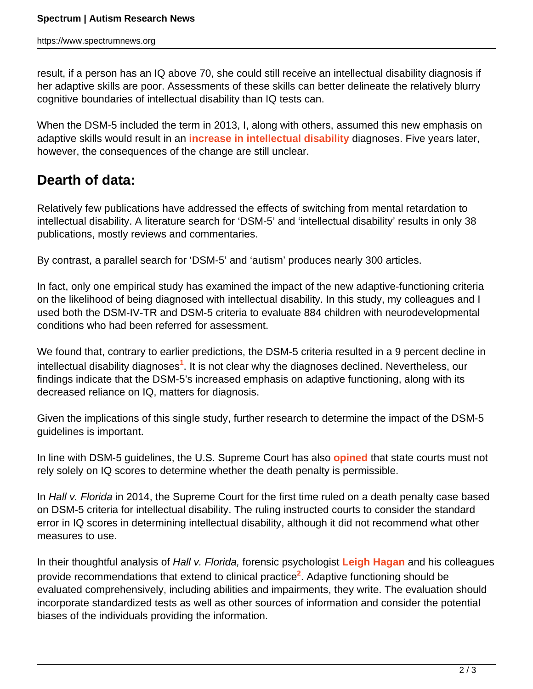result, if a person has an IQ above 70, she could still receive an intellectual disability diagnosis if her adaptive skills are poor. Assessments of these skills can better delineate the relatively blurry cognitive boundaries of intellectual disability than IQ tests can.

When the DSM-5 included the term in 2013, I, along with others, assumed this new emphasis on adaptive skills would result in an **[increase in intellectual disability](https://www.spectrumnews.org/opinion/intellectual-disabilitys-dsm-5-debut/)** diagnoses. Five years later, however, the consequences of the change are still unclear.

## **Dearth of data:**

Relatively few publications have addressed the effects of switching from mental retardation to intellectual disability. A literature search for 'DSM-5' and 'intellectual disability' results in only 38 publications, mostly reviews and commentaries.

By contrast, a parallel search for 'DSM-5' and 'autism' produces nearly 300 articles.

In fact, only one empirical study has examined the impact of the new adaptive-functioning criteria on the likelihood of being diagnosed with intellectual disability. In this study, my colleagues and I used both the DSM-IV-TR and DSM-5 criteria to evaluate 884 children with neurodevelopmental conditions who had been referred for assessment.

We found that, contrary to earlier predictions, the DSM-5 criteria resulted in a 9 percent decline in intellectual disability diagnoses<sup>1</sup>. It is not clear why the diagnoses declined. Nevertheless, our findings indicate that the DSM-5's increased emphasis on adaptive functioning, along with its decreased reliance on IQ, matters for diagnosis.

Given the implications of this single study, further research to determine the impact of the DSM-5 guidelines is important.

In line with DSM-5 guidelines, the U.S. Supreme Court has also **[opined](https://supreme.justia.com/cases/federal/us/572/12-10882/)** that state courts must not rely solely on IQ scores to determine whether the death penalty is permissible.

In Hall v. Florida in 2014, the Supreme Court for the first time ruled on a death penalty case based on DSM-5 criteria for intellectual disability. The ruling instructed courts to consider the standard error in IQ scores in determining intellectual disability, although it did not recommend what other measures to use.

In their thoughtful analysis of Hall v. Florida, forensic psychologist **[Leigh Hagan](http://leighhagan.com/wordpress/)** and his colleagues provide recommendations that extend to clinical practice<sup>2</sup>. Adaptive functioning should be evaluated comprehensively, including abilities and impairments, they write. The evaluation should incorporate standardized tests as well as other sources of information and consider the potential biases of the individuals providing the information.